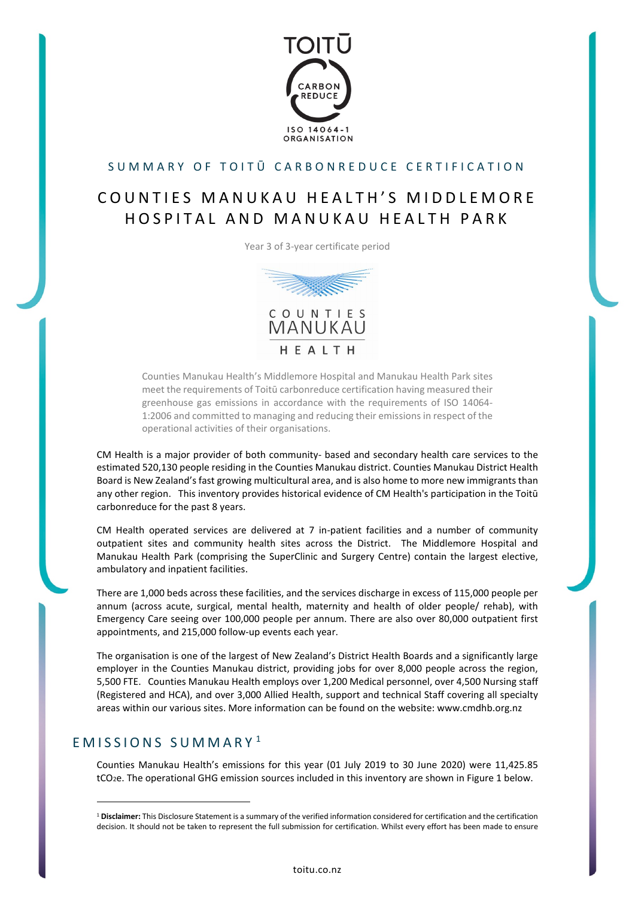

#### SUMMARY OF TOITŪ CARBON REDUCE CERTIFICATION

# COUNTIES MANUKAU HEALTH'S MIDDLEMORE HOSPITAL AND MANUKAU HEALTH PARK

Year 3 of 3-year certificate period



Counties Manukau Health's Middlemore Hospital and Manukau Health Park sites meet the requirements of Toitū carbonreduce certification having measured their greenhouse gas emissions in accordance with the requirements of ISO 14064- 1:2006 and committed to managing and reducing their emissions in respect of the operational activities of their organisations.

CM Health is a major provider of both community- based and secondary health care services to the estimated 520,130 people residing in the Counties Manukau district. Counties Manukau District Health Board is New Zealand's fast growing multicultural area, and is also home to more new immigrants than any other region. This inventory provides historical evidence of CM Health's participation in the Toitū carbonreduce for the past 8 years.

CM Health operated services are delivered at 7 in-patient facilities and a number of community outpatient sites and community health sites across the District. The Middlemore Hospital and Manukau Health Park (comprising the SuperClinic and Surgery Centre) contain the largest elective, ambulatory and inpatient facilities.

There are 1,000 beds across these facilities, and the services discharge in excess of 115,000 people per annum (across acute, surgical, mental health, maternity and health of older people/ rehab), with Emergency Care seeing over 100,000 people per annum. There are also over 80,000 outpatient first appointments, and 215,000 follow-up events each year.

The organisation is one of the largest of New Zealand's District Health Boards and a significantly large employer in the Counties Manukau district, providing jobs for over 8,000 people across the region, 5,500 FTE. Counties Manukau Health employs over 1,200 Medical personnel, over 4,500 Nursing staff (Registered and HCA), and over 3,000 Allied Health, support and technical Staff covering all specialty areas within our various sites. More information can be found on the website: www.cmdhb.org.nz

#### EMISSIONS SUMMARY [1](#page-0-0)

Counties Manukau Health's emissions for this year (01 July 2019 to 30 June 2020) were 11,425.85 tCO2e. The operational GHG emission sources included in this inventory are shown in Figure 1 below.

<span id="page-0-0"></span><sup>1</sup> **Disclaimer:** This Disclosure Statement is a summary of the verified information considered for certification and the certification decision. It should not be taken to represent the full submission for certification. Whilst every effort has been made to ensure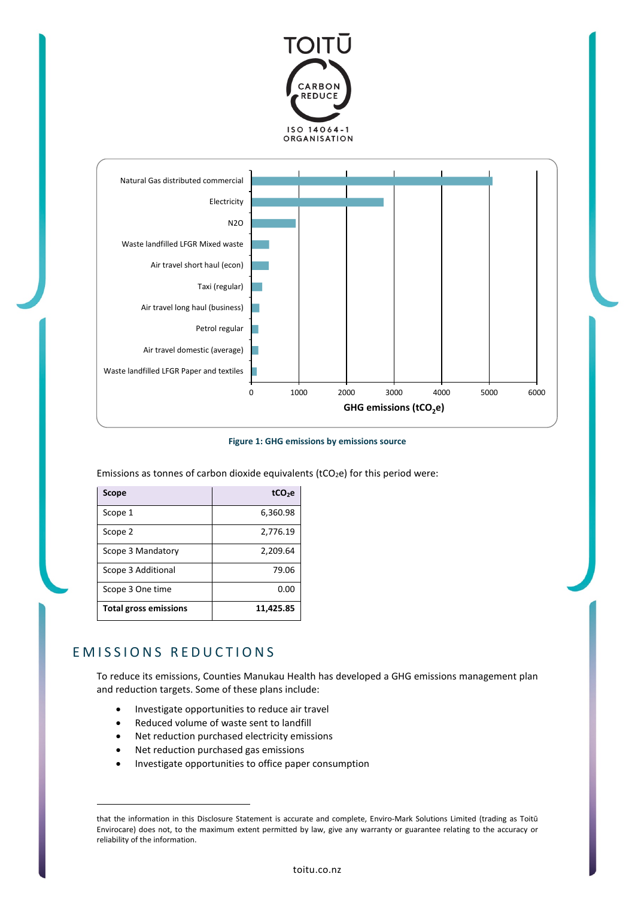



**Figure 1: GHG emissions by emissions source**

Emissions as tonnes of carbon dioxide equivalents ( $tCO<sub>2</sub>e$ ) for this period were:

| Scope                        | tCO <sub>2</sub> e |
|------------------------------|--------------------|
| Scope 1                      | 6,360.98           |
| Scope 2                      | 2,776.19           |
| Scope 3 Mandatory            | 2,209.64           |
| Scope 3 Additional           | 79.06              |
| Scope 3 One time             | 0.00               |
| <b>Total gross emissions</b> | 11,425.85          |

### EMISSIONS REDUCTIONS

To reduce its emissions, Counties Manukau Health has developed a GHG emissions management plan and reduction targets. Some of these plans include:

- Investigate opportunities to reduce air travel
- Reduced volume of waste sent to landfill
- Net reduction purchased electricity emissions
- Net reduction purchased gas emissions
- Investigate opportunities to office paper consumption

that the information in this Disclosure Statement is accurate and complete, Enviro-Mark Solutions Limited (trading as Toitū Envirocare) does not, to the maximum extent permitted by law, give any warranty or guarantee relating to the accuracy or reliability of the information.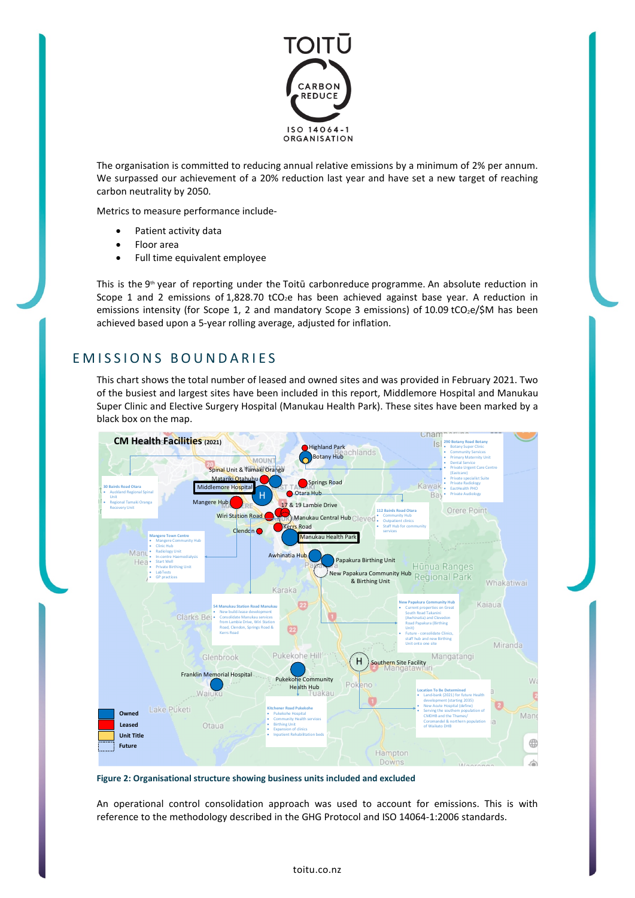

The organisation is committed to reducing annual relative emissions by a minimum of 2% per annum. We surpassed our achievement of a 20% reduction last year and have set a new target of reaching carbon neutrality by 2050.

Metrics to measure performance include-

- Patient activity data
- Floor area
- Full time equivalent employee

This is the 9<sup>th</sup> year of reporting under the Toitū carbonreduce programme. An absolute reduction in Scope 1 and 2 emissions of 1,828.70 tCO<sub>2</sub>e has been achieved against base year. A reduction in emissions intensity (for Scope 1, 2 and mandatory Scope 3 emissions) of 10.09 tCO<sub>2</sub>e/\$M has been achieved based upon a 5-year rolling average, adjusted for inflation.

### EMISSIONS BOUNDARIES

This chart shows the total number of leased and owned sites and was provided in February 2021. Two of the busiest and largest sites have been included in this report, Middlemore Hospital and Manukau Super Clinic and Elective Surgery Hospital (Manukau Health Park). These sites have been marked by a black box on the map.



**Figure 2: Organisational structure showing business units included and excluded**

An operational control consolidation approach was used to account for emissions. This is with reference to the methodology described in the GHG Protocol and ISO 14064-1:2006 standards.